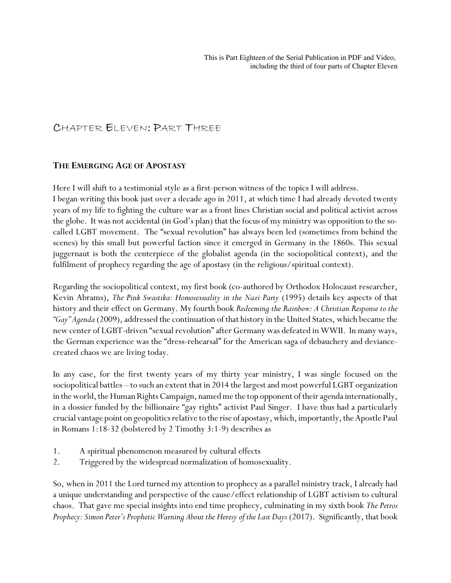## CHAPTER ELEVEN: PART THREE

## **THE EMERGING AGE OF APOSTASY**

Here I will shift to a testimonial style as a first-person witness of the topics I will address. I began writing this book just over a decade ago in 2011, at which time I had already devoted twenty years of my life to fighting the culture war as a front lines Christian social and political activist across the globe. It was not accidental (in God's plan) that the focus of my ministry was opposition to the socalled LGBT movement. The "sexual revolution" has always been led (sometimes from behind the scenes) by this small but powerful faction since it emerged in Germany in the 1860s. This sexual juggernaut is both the centerpiece of the globalist agenda (in the sociopolitical context), and the fulfilment of prophecy regarding the age of apostasy (in the religious/spiritual context).

Regarding the sociopolitical context, my first book (co-authored by Orthodox Holocaust researcher, Kevin Abrams), *The Pink Swastika: Homosexuality in the Nazi Party* (1995) details key aspects of that history and their effect on Germany. My fourth book *Redeeming the Rainbow: A Christian Response to the "Gay" Agenda* (2009), addressed the continuation of that history in the United States, which became the new center of LGBT-driven "sexual revolution" after Germany was defeated in WWII. In many ways, the German experience was the "dress-rehearsal" for the American saga of debauchery and deviancecreated chaos we are living today.

In any case, for the first twenty years of my thirty year ministry, I was single focused on the sociopolitical battles – to such an extent that in 2014 the largest and most powerful LGBT organization in the world, the Human Rights Campaign, named me the top opponent of their agenda internationally, in a dossier funded by the billionaire "gay rights" activist Paul Singer. I have thus had a particularly crucial vantage point on geopolitics relative to the rise of apostasy, which, importantly, the Apostle Paul in Romans 1:18-32 (bolstered by 2 Timothy 3:1-9) describes as

- 1. A spiritual phenomenon measured by cultural effects
- 2. Triggered by the widespread normalization of homosexuality.

So, when in 2011 the Lord turned my attention to prophecy as a parallel ministry track, I already had a unique understanding and perspective of the cause/effect relationship of LGBT activism to cultural chaos. That gave me special insights into end time prophecy, culminating in my sixth book *The Petros Prophecy: Simon Peter's Prophetic Warning About the Heresy of the Last Days* (2017). Significantly, that book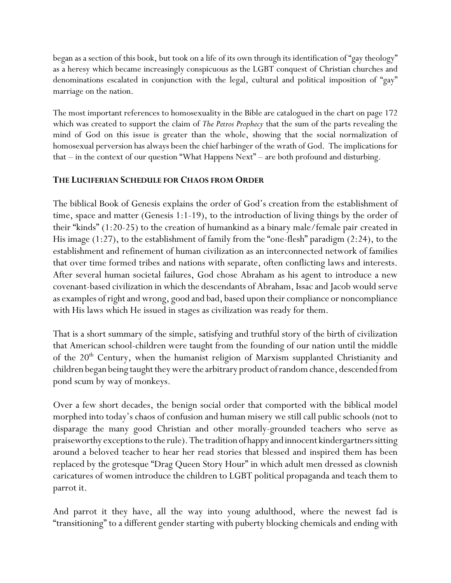began as a section of this book, but took on a life of its own through its identification of "gay theology" as a heresy which became increasingly conspicuous as the LGBT conquest of Christian churches and denominations escalated in conjunction with the legal, cultural and political imposition of "gay" marriage on the nation.

The most important references to homosexuality in the Bible are catalogued in the chart on page 172 which was created to support the claim of *The Petros Prophecy* that the sum of the parts revealing the mind of God on this issue is greater than the whole, showing that the social normalization of homosexual perversion has always been the chief harbinger of the wrath of God. The implications for that – in the context of our question "What Happens Next" – are both profound and disturbing.

## **THE LUCIFERIAN SCHEDULE FOR CHAOS FROM ORDER**

The biblical Book of Genesis explains the order of God's creation from the establishment of time, space and matter (Genesis 1:1-19), to the introduction of living things by the order of their "kinds" (1:20-25) to the creation of humankind as a binary male/female pair created in His image (1:27), to the establishment of family from the "one-flesh" paradigm (2:24), to the establishment and refinement of human civilization as an interconnected network of families that over time formed tribes and nations with separate, often conflicting laws and interests. After several human societal failures, God chose Abraham as his agent to introduce a new covenant-based civilization in which the descendants of Abraham, Issac and Jacob would serve as examples of right and wrong, good and bad, based upon their compliance or noncompliance with His laws which He issued in stages as civilization was ready for them.

That is a short summary of the simple, satisfying and truthful story of the birth of civilization that American school-children were taught from the founding of our nation until the middle of the 20<sup>th</sup> Century, when the humanist religion of Marxism supplanted Christianity and children began being taught they were the arbitrary product of random chance, descended from pond scum by way of monkeys.

Over a few short decades, the benign social order that comported with the biblical model morphed into today's chaos of confusion and human misery we still call public schools (not to disparage the many good Christian and other morally-grounded teachers who serve as praiseworthy exceptions to the rule). The tradition of happy and innocent kindergartners sitting around a beloved teacher to hear her read stories that blessed and inspired them has been replaced by the grotesque "Drag Queen Story Hour" in which adult men dressed as clownish caricatures of women introduce the children to LGBT political propaganda and teach them to parrot it.

And parrot it they have, all the way into young adulthood, where the newest fad is "transitioning" to a different gender starting with puberty blocking chemicals and ending with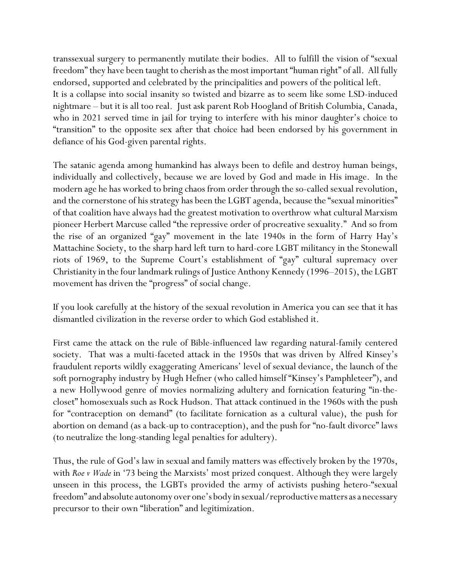transsexual surgery to permanently mutilate their bodies. All to fulfill the vision of "sexual freedom" they have been taught to cherish as the most important "human right" of all. All fully endorsed, supported and celebrated by the principalities and powers of the political left. It is a collapse into social insanity so twisted and bizarre as to seem like some LSD-induced nightmare – but it is all too real. Just ask parent Rob Hoogland of British Columbia, Canada, who in 2021 served time in jail for trying to interfere with his minor daughter's choice to "transition" to the opposite sex after that choice had been endorsed by his government in defiance of his God-given parental rights.

The satanic agenda among humankind has always been to defile and destroy human beings, individually and collectively, because we are loved by God and made in His image. In the modern age he has worked to bring chaos from order through the so-called sexual revolution, and the cornerstone of his strategy has been the LGBT agenda, because the "sexual minorities" of that coalition have always had the greatest motivation to overthrow what cultural Marxism pioneer Herbert Marcuse called "the repressive order of procreative sexuality." And so from the rise of an organized "gay" movement in the late 1940s in the form of Harry Hay's Mattachine Society, to the sharp hard left turn to hard-core LGBT militancy in the Stonewall riots of 1969, to the Supreme Court's establishment of "gay" cultural supremacy over Christianity in the four landmark rulings of Justice Anthony Kennedy (1996–2015), the LGBT movement has driven the "progress" of social change.

If you look carefully at the history of the sexual revolution in America you can see that it has dismantled civilization in the reverse order to which God established it.

First came the attack on the rule of Bible-influenced law regarding natural-family centered society. That was a multi-faceted attack in the 1950s that was driven by Alfred Kinsey's fraudulent reports wildly exaggerating Americans' level of sexual deviance, the launch of the soft pornography industry by Hugh Hefner (who called himself "Kinsey's Pamphleteer"), and a new Hollywood genre of movies normalizing adultery and fornication featuring "in-thecloset" homosexuals such as Rock Hudson. That attack continued in the 1960s with the push for "contraception on demand" (to facilitate fornication as a cultural value), the push for abortion on demand (as a back-up to contraception), and the push for "no-fault divorce" laws (to neutralize the long-standing legal penalties for adultery).

Thus, the rule of God's law in sexual and family matters was effectively broken by the 1970s, with *Roe v Wade* in '73 being the Marxists' most prized conquest. Although they were largely unseen in this process, the LGBTs provided the army of activists pushing hetero-"sexual freedom" and absolute autonomy over one's body in sexual/reproductive matters as a necessary precursor to their own "liberation" and legitimization.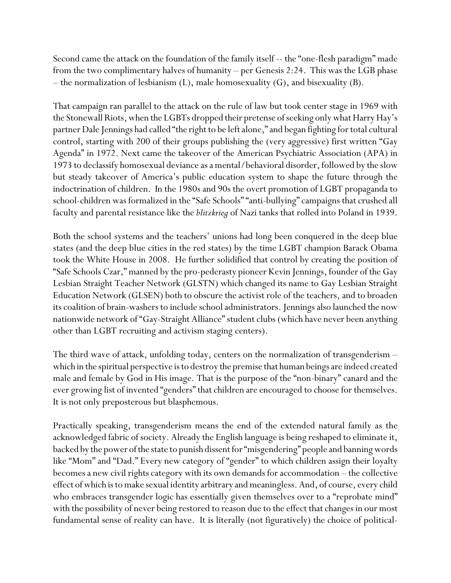Second came the attack on the foundation of the family itself -- the "one-flesh paradigm" made from the two complimentary halves of humanity – per Genesis 2:24. This was the LGB phase – the normalization of lesbianism (L), male homosexuality (G), and bisexuality (B).

That campaign ran parallel to the attack on the rule of law but took center stage in 1969 with the Stonewall Riots, when the LGBTs dropped their pretense of seeking only what Harry Hay's partner Dale Jennings had called "the right to be left alone," and began fighting for total cultural control, starting with 200 of their groups publishing the (very aggressive) first written "Gay Agenda" in 1972. Next came the takeover of the American Psychiatric Association (APA) in 1973 to declassify homosexual deviance as a mental/behavioral disorder, followed by the slow but steady takeover of America's public education system to shape the future through the indoctrination of children. In the 1980s and 90s the overt promotion of LGBT propaganda to school-children was formalized in the "Safe Schools" "anti-bullying" campaigns that crushed all faculty and parental resistance like the *blitzkrieg* of Nazi tanks that rolled into Poland in 1939.

Both the school systems and the teachers' unions had long been conquered in the deep blue states (and the deep blue cities in the red states) by the time LGBT champion Barack Obama took the White House in 2008. He further solidified that control by creating the position of "Safe Schools Czar," manned by the pro-pederasty pioneer Kevin Jennings, founder of the Gay Lesbian Straight Teacher Network (GLSTN) which changed its name to Gay Lesbian Straight Education Network (GLSEN) both to obscure the activist role of the teachers, and to broaden its coalition of brain-washers to include school administrators. Jennings also launched the now nationwide network of "Gay-Straight Alliance" student clubs (which have never been anything other than LGBT recruiting and activism staging centers).

The third wave of attack, unfolding today, centers on the normalization of transgenderism – which in the spiritual perspective is to destroy the premise that human beings are indeed created male and female by God in His image. That is the purpose of the "non-binary" canard and the ever growing list of invented "genders" that children are encouraged to choose for themselves. It is not only preposterous but blasphemous.

Practically speaking, transgenderism means the end of the extended natural family as the acknowledged fabric of society. Already the English language is being reshaped to eliminate it, backed by the power of the state to punish dissent for "misgendering" people and banning words like "Mom" and "Dad." Every new category of "gender" to which children assign their loyalty becomes a new civil rights category with its own demands for accommodation – the collective effect of which is to make sexual identity arbitrary and meaningless. And, of course, every child who embraces transgender logic has essentially given themselves over to a "reprobate mind" with the possibility of never being restored to reason due to the effect that changes in our most fundamental sense of reality can have. It is literally (not figuratively) the choice of political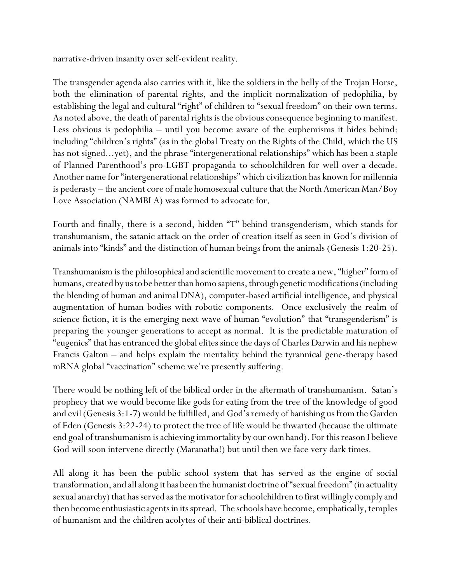narrative-driven insanity over self-evident reality.

The transgender agenda also carries with it, like the soldiers in the belly of the Trojan Horse, both the elimination of parental rights, and the implicit normalization of pedophilia, by establishing the legal and cultural "right" of children to "sexual freedom" on their own terms. As noted above, the death of parental rights is the obvious consequence beginning to manifest. Less obvious is pedophilia – until you become aware of the euphemisms it hides behind: including "children's rights" (as in the global Treaty on the Rights of the Child, which the US has not signed...yet), and the phrase "intergenerational relationships" which has been a staple of Planned Parenthood's pro-LGBT propaganda to schoolchildren for well over a decade. Another name for "intergenerational relationships" which civilization has known for millennia is pederasty – the ancient core of male homosexual culture that the North American Man/Boy Love Association (NAMBLA) was formed to advocate for.

Fourth and finally, there is a second, hidden "T" behind transgenderism, which stands for transhumanism, the satanic attack on the order of creation itself as seen in God's division of animals into "kinds" and the distinction of human beings from the animals (Genesis 1:20-25).

Transhumanism is the philosophical and scientific movement to create a new, "higher" form of humans, created by us to be better than homo sapiens, through genetic modifications (including the blending of human and animal DNA), computer-based artificial intelligence, and physical augmentation of human bodies with robotic components. Once exclusively the realm of science fiction, it is the emerging next wave of human "evolution" that "transgenderism" is preparing the younger generations to accept as normal. It is the predictable maturation of "eugenics" that has entranced the global elites since the days of Charles Darwin and his nephew Francis Galton – and helps explain the mentality behind the tyrannical gene-therapy based mRNA global "vaccination" scheme we're presently suffering.

There would be nothing left of the biblical order in the aftermath of transhumanism. Satan's prophecy that we would become like gods for eating from the tree of the knowledge of good and evil (Genesis 3:1-7) would be fulfilled, and God's remedy of banishing us from the Garden of Eden (Genesis 3:22-24) to protect the tree of life would be thwarted (because the ultimate end goal of transhumanism is achieving immortality by our own hand). For this reason I believe God will soon intervene directly (Maranatha!) but until then we face very dark times.

All along it has been the public school system that has served as the engine of social transformation, and all along it has been the humanist doctrine of "sexual freedom" (in actuality sexual anarchy) that has served as the motivator for schoolchildren to first willingly comply and then become enthusiastic agents in its spread. The schools have become, emphatically, temples of humanism and the children acolytes of their anti-biblical doctrines.